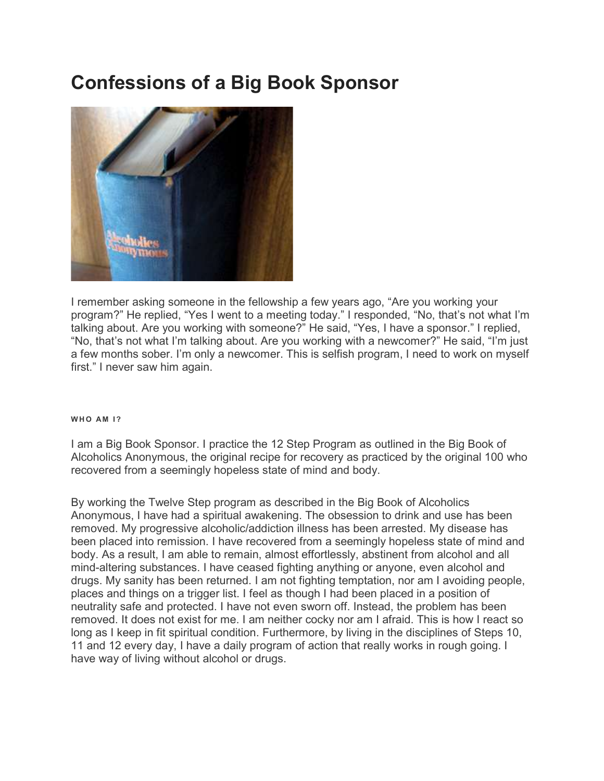# Confessions of a Big Book Sponsor



I remember asking someone in the fellowship a few years ago, "Are you working your program?" He replied, "Yes I went to a meeting today." I responded, "No, that's not what I'm talking about. Are you working with someone?" He said, "Yes, I have a sponsor." I replied, "No, that's not what I'm talking about. Are you working with a newcomer?" He said, "I'm just a few months sober. I'm only a newcomer. This is selfish program, I need to work on myself first." I never saw him again.

# WHO AM 1?

I am a Big Book Sponsor. I practice the 12 Step Program as outlined in the Big Book of Alcoholics Anonymous, the original recipe for recovery as practiced by the original 100 who recovered from a seemingly hopeless state of mind and body.

By working the Twelve Step program as described in the Big Book of Alcoholics Anonymous, I have had a spiritual awakening. The obsession to drink and use has been removed. My progressive alcoholic/addiction illness has been arrested. My disease has been placed into remission. I have recovered from a seemingly hopeless state of mind and body. As a result, I am able to remain, almost effortlessly, abstinent from alcohol and all mind-altering substances. I have ceased fighting anything or anyone, even alcohol and drugs. My sanity has been returned. I am not fighting temptation, nor am I avoiding people, places and things on a trigger list. I feel as though I had been placed in a position of neutrality safe and protected. I have not even sworn off. Instead, the problem has been removed. It does not exist for me. I am neither cocky nor am I afraid. This is how I react so long as I keep in fit spiritual condition. Furthermore, by living in the disciplines of Steps 10, 11 and 12 every day, I have a daily program of action that really works in rough going. I have way of living without alcohol or drugs.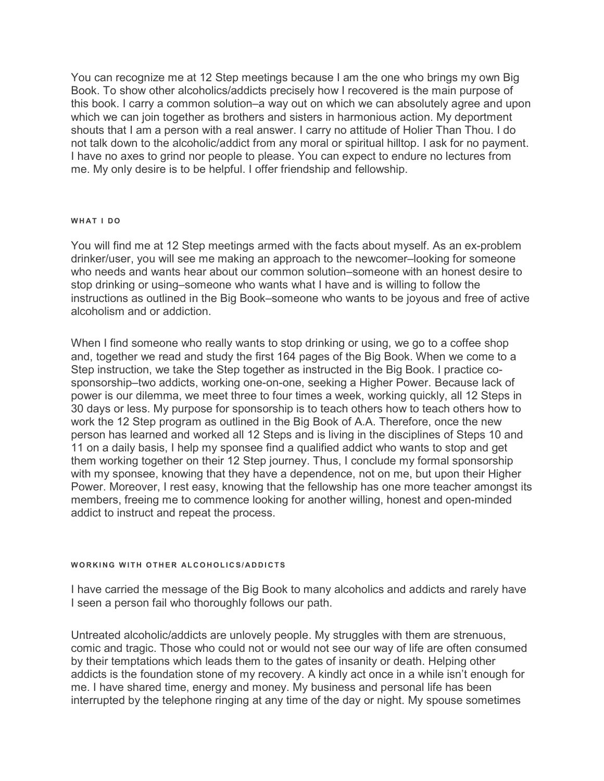You can recognize me at 12 Step meetings because I am the one who brings my own Big Book. To show other alcoholics/addicts precisely how I recovered is the main purpose of this book. I carry a common solution–a way out on which we can absolutely agree and upon which we can join together as brothers and sisters in harmonious action. My deportment shouts that I am a person with a real answer. I carry no attitude of Holier Than Thou. I do not talk down to the alcoholic/addict from any moral or spiritual hilltop. I ask for no payment. I have no axes to grind nor people to please. You can expect to endure no lectures from me. My only desire is to be helpful. I offer friendship and fellowship.

# WHAT I DO

You will find me at 12 Step meetings armed with the facts about myself. As an ex-problem drinker/user, you will see me making an approach to the newcomer–looking for someone who needs and wants hear about our common solution–someone with an honest desire to stop drinking or using–someone who wants what I have and is willing to follow the instructions as outlined in the Big Book–someone who wants to be joyous and free of active alcoholism and or addiction.

When I find someone who really wants to stop drinking or using, we go to a coffee shop and, together we read and study the first 164 pages of the Big Book. When we come to a Step instruction, we take the Step together as instructed in the Big Book. I practice cosponsorship–two addicts, working one-on-one, seeking a Higher Power. Because lack of power is our dilemma, we meet three to four times a week, working quickly, all 12 Steps in 30 days or less. My purpose for sponsorship is to teach others how to teach others how to work the 12 Step program as outlined in the Big Book of A.A. Therefore, once the new person has learned and worked all 12 Steps and is living in the disciplines of Steps 10 and 11 on a daily basis, I help my sponsee find a qualified addict who wants to stop and get them working together on their 12 Step journey. Thus, I conclude my formal sponsorship with my sponsee, knowing that they have a dependence, not on me, but upon their Higher Power. Moreover, I rest easy, knowing that the fellowship has one more teacher amongst its members, freeing me to commence looking for another willing, honest and open-minded addict to instruct and repeat the process.

# WORKING WITH OTHER ALCOHOLICS/ADDICTS

I have carried the message of the Big Book to many alcoholics and addicts and rarely have I seen a person fail who thoroughly follows our path.

Untreated alcoholic/addicts are unlovely people. My struggles with them are strenuous, comic and tragic. Those who could not or would not see our way of life are often consumed by their temptations which leads them to the gates of insanity or death. Helping other addicts is the foundation stone of my recovery. A kindly act once in a while isn't enough for me. I have shared time, energy and money. My business and personal life has been interrupted by the telephone ringing at any time of the day or night. My spouse sometimes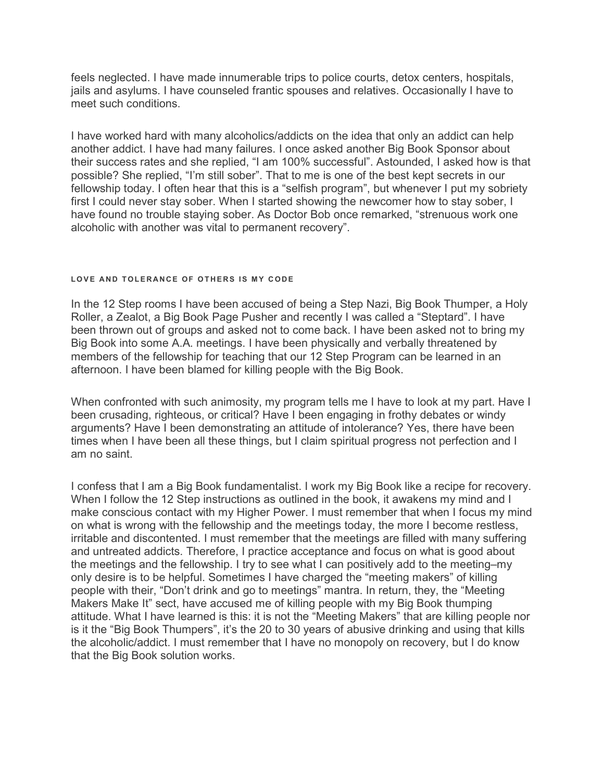feels neglected. I have made innumerable trips to police courts, detox centers, hospitals, jails and asylums. I have counseled frantic spouses and relatives. Occasionally I have to meet such conditions.

I have worked hard with many alcoholics/addicts on the idea that only an addict can help another addict. I have had many failures. I once asked another Big Book Sponsor about their success rates and she replied, "I am 100% successful". Astounded, I asked how is that possible? She replied, "I'm still sober". That to me is one of the best kept secrets in our fellowship today. I often hear that this is a "selfish program", but whenever I put my sobriety first I could never stay sober. When I started showing the newcomer how to stay sober, I have found no trouble staying sober. As Doctor Bob once remarked, "strenuous work one alcoholic with another was vital to permanent recovery".

# LOVE AND TOLERANCE OF OTHERS IS MY CODE

In the 12 Step rooms I have been accused of being a Step Nazi, Big Book Thumper, a Holy Roller, a Zealot, a Big Book Page Pusher and recently I was called a "Steptard". I have been thrown out of groups and asked not to come back. I have been asked not to bring my Big Book into some A.A. meetings. I have been physically and verbally threatened by members of the fellowship for teaching that our 12 Step Program can be learned in an afternoon. I have been blamed for killing people with the Big Book.

When confronted with such animosity, my program tells me I have to look at my part. Have I been crusading, righteous, or critical? Have I been engaging in frothy debates or windy arguments? Have I been demonstrating an attitude of intolerance? Yes, there have been times when I have been all these things, but I claim spiritual progress not perfection and I am no saint.

I confess that I am a Big Book fundamentalist. I work my Big Book like a recipe for recovery. When I follow the 12 Step instructions as outlined in the book, it awakens my mind and I make conscious contact with my Higher Power. I must remember that when I focus my mind on what is wrong with the fellowship and the meetings today, the more I become restless, irritable and discontented. I must remember that the meetings are filled with many suffering and untreated addicts. Therefore, I practice acceptance and focus on what is good about the meetings and the fellowship. I try to see what I can positively add to the meeting–my only desire is to be helpful. Sometimes I have charged the "meeting makers" of killing people with their, "Don't drink and go to meetings" mantra. In return, they, the "Meeting Makers Make It" sect, have accused me of killing people with my Big Book thumping attitude. What I have learned is this: it is not the "Meeting Makers" that are killing people nor is it the "Big Book Thumpers", it's the 20 to 30 years of abusive drinking and using that kills the alcoholic/addict. I must remember that I have no monopoly on recovery, but I do know that the Big Book solution works.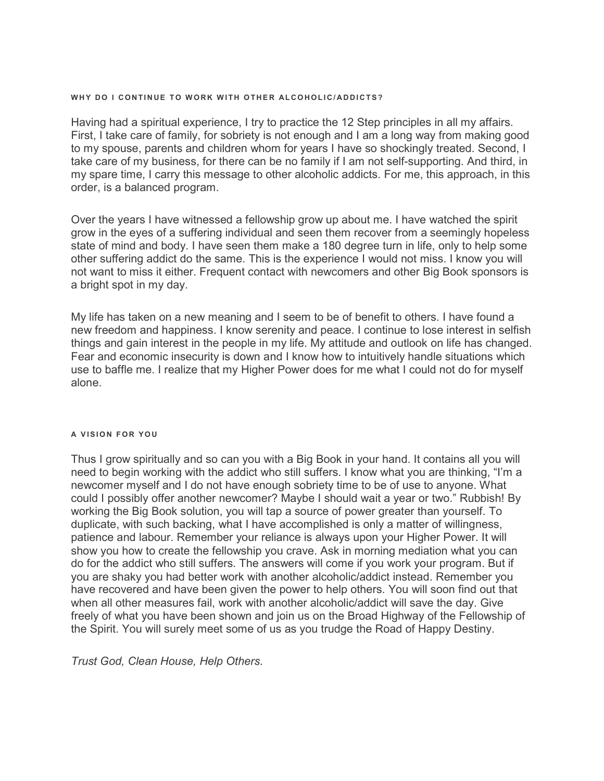# WHY DO I CONTINUE TO WORK WITH OTHER ALCOHOLIC/ADDICTS?

Having had a spiritual experience, I try to practice the 12 Step principles in all my affairs. First, I take care of family, for sobriety is not enough and I am a long way from making good to my spouse, parents and children whom for years I have so shockingly treated. Second, I take care of my business, for there can be no family if I am not self-supporting. And third, in my spare time, I carry this message to other alcoholic addicts. For me, this approach, in this order, is a balanced program.

Over the years I have witnessed a fellowship grow up about me. I have watched the spirit grow in the eyes of a suffering individual and seen them recover from a seemingly hopeless state of mind and body. I have seen them make a 180 degree turn in life, only to help some other suffering addict do the same. This is the experience I would not miss. I know you will not want to miss it either. Frequent contact with newcomers and other Big Book sponsors is a bright spot in my day.

My life has taken on a new meaning and I seem to be of benefit to others. I have found a new freedom and happiness. I know serenity and peace. I continue to lose interest in selfish things and gain interest in the people in my life. My attitude and outlook on life has changed. Fear and economic insecurity is down and I know how to intuitively handle situations which use to baffle me. I realize that my Higher Power does for me what I could not do for myself alone.

# A VISION FOR YOU

Thus I grow spiritually and so can you with a Big Book in your hand. It contains all you will need to begin working with the addict who still suffers. I know what you are thinking, "I'm a newcomer myself and I do not have enough sobriety time to be of use to anyone. What could I possibly offer another newcomer? Maybe I should wait a year or two." Rubbish! By working the Big Book solution, you will tap a source of power greater than yourself. To duplicate, with such backing, what I have accomplished is only a matter of willingness, patience and labour. Remember your reliance is always upon your Higher Power. It will show you how to create the fellowship you crave. Ask in morning mediation what you can do for the addict who still suffers. The answers will come if you work your program. But if you are shaky you had better work with another alcoholic/addict instead. Remember you have recovered and have been given the power to help others. You will soon find out that when all other measures fail, work with another alcoholic/addict will save the day. Give freely of what you have been shown and join us on the Broad Highway of the Fellowship of the Spirit. You will surely meet some of us as you trudge the Road of Happy Destiny.

Trust God, Clean House, Help Others.